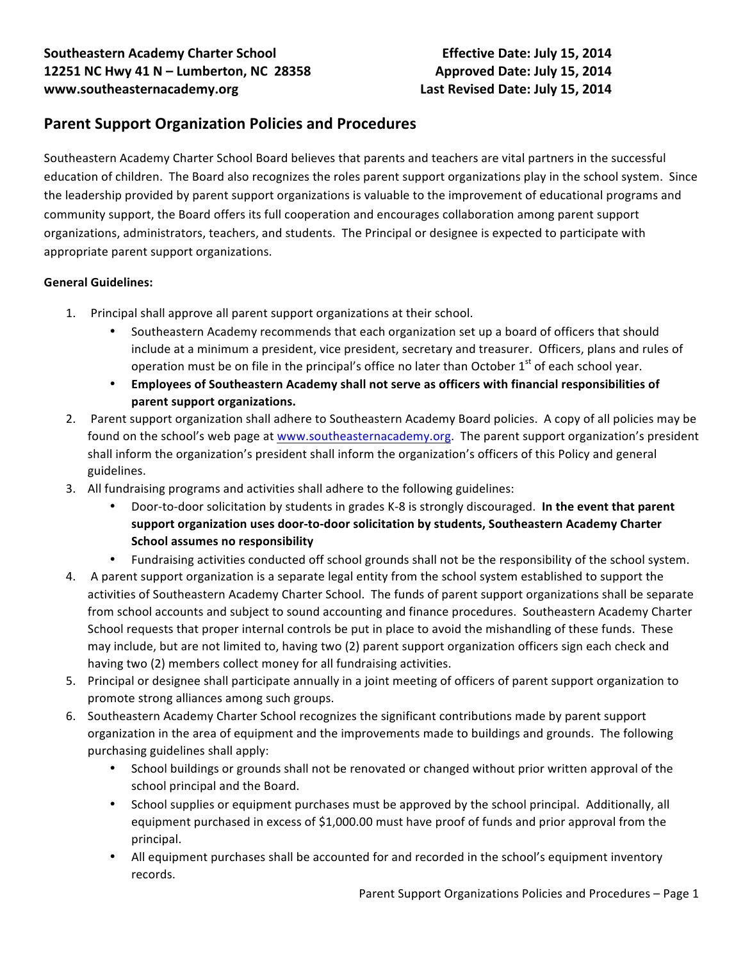# **Parent Support Organization Policies and Procedures**

Southeastern Academy Charter School Board believes that parents and teachers are vital partners in the successful education of children. The Board also recognizes the roles parent support organizations play in the school system. Since the leadership provided by parent support organizations is valuable to the improvement of educational programs and community support, the Board offers its full cooperation and encourages collaboration among parent support organizations, administrators, teachers, and students. The Principal or designee is expected to participate with appropriate parent support organizations.

### **General Guidelines:**

- 1. Principal shall approve all parent support organizations at their school.
	- Southeastern Academy recommends that each organization set up a board of officers that should include at a minimum a president, vice president, secretary and treasurer. Officers, plans and rules of operation must be on file in the principal's office no later than October  $1<sup>st</sup>$  of each school year.
	- Employees of Southeastern Academy shall not serve as officers with financial responsibilities of parent support organizations.
- 2. Parent support organization shall adhere to Southeastern Academy Board policies. A copy of all policies may be found on the school's web page at www.southeasternacademy.org. The parent support organization's president shall inform the organization's president shall inform the organization's officers of this Policy and general guidelines.
- 3. All fundraising programs and activities shall adhere to the following guidelines:
	- Door-to-door solicitation by students in grades K-8 is strongly discouraged. In the event that parent support organization uses door-to-door solicitation by students, Southeastern Academy Charter **School assumes no responsibility**
	- Fundraising activities conducted off school grounds shall not be the responsibility of the school system.
- 4. A parent support organization is a separate legal entity from the school system established to support the activities of Southeastern Academy Charter School. The funds of parent support organizations shall be separate from school accounts and subject to sound accounting and finance procedures. Southeastern Academy Charter School requests that proper internal controls be put in place to avoid the mishandling of these funds. These may include, but are not limited to, having two (2) parent support organization officers sign each check and having two (2) members collect money for all fundraising activities.
- 5. Principal or designee shall participate annually in a joint meeting of officers of parent support organization to promote strong alliances among such groups.
- 6. Southeastern Academy Charter School recognizes the significant contributions made by parent support organization in the area of equipment and the improvements made to buildings and grounds. The following purchasing guidelines shall apply:
	- School buildings or grounds shall not be renovated or changed without prior written approval of the school principal and the Board.
	- School supplies or equipment purchases must be approved by the school principal. Additionally, all equipment purchased in excess of \$1,000.00 must have proof of funds and prior approval from the principal.
	- All equipment purchases shall be accounted for and recorded in the school's equipment inventory records.